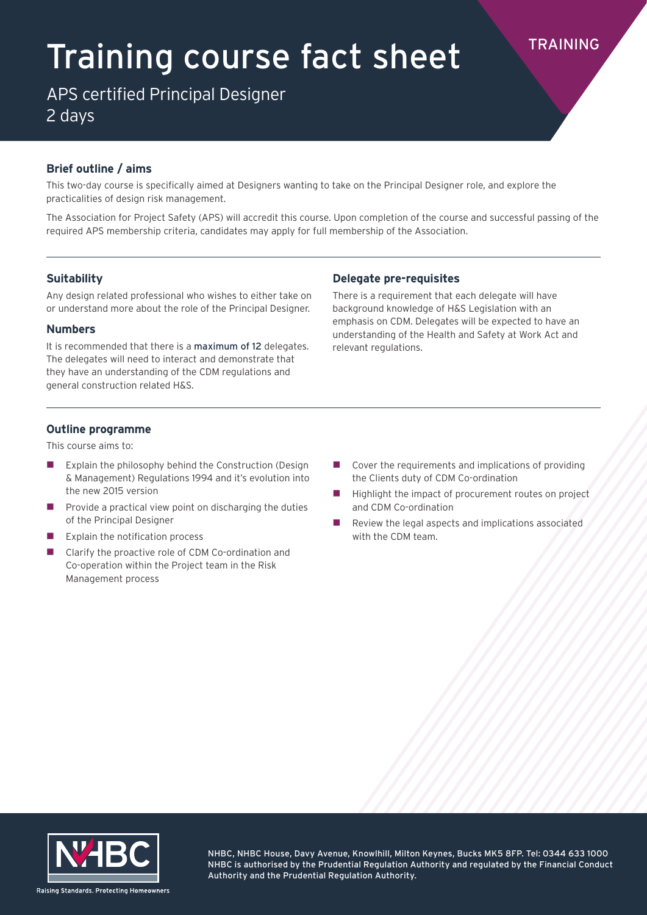# Training course fact sheet

APS certified Principal Designer 2 days

# **Brief outline / aims**

This two-day course is specifically aimed at Designers wanting to take on the Principal Designer role, and explore the practicalities of design risk management.

The Association for Project Safety (APS) will accredit this course. Upon completion of the course and successful passing of the required APS membership criteria, candidates may apply for full membership of the Association.

# **Suitability**

Any design related professional who wishes to either take on or understand more about the role of the Principal Designer.

#### **Numbers**

It is recommended that there is a maximum of 12 delegates. The delegates will need to interact and demonstrate that they have an understanding of the CDM regulations and general construction related H&S.

## **Delegate pre-requisites**

There is a requirement that each delegate will have background knowledge of H&S Legislation with an emphasis on CDM. Delegates will be expected to have an understanding of the Health and Safety at Work Act and relevant regulations.

### **Outline programme**

This course aims to:

- Explain the philosophy behind the Construction (Design & Management) Regulations 1994 and it's evolution into the new 2015 version
- Provide a practical view point on discharging the duties of the Principal Designer
- $\blacksquare$  Explain the notification process
- Clarify the proactive role of CDM Co-ordination and Co-operation within the Project team in the Risk Management process
- $\Box$  Cover the requirements and implications of providing the Clients duty of CDM Co-ordination
- Highlight the impact of procurement routes on project and CDM Co-ordination
- Review the legal aspects and implications associated with the CDM team.



NHBC, NHBC House, Davy Avenue, Knowlhill, Milton Keynes, Bucks MK5 8FP. Tel: 0344 633 1000 NHBC is authorised by the Prudential Regulation Authority and regulated by the Financial Conduct Authority and the Prudential Regulation Authority.